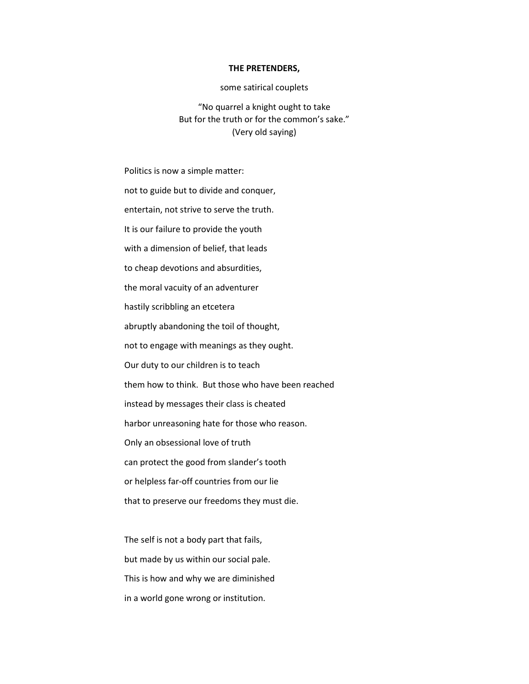## THE PRETENDERS,

## some satirical couplets

"No quarrel a knight ought to take But for the truth or for the common's sake." (Very old saying)

Politics is now a simple matter: not to guide but to divide and conquer, entertain, not strive to serve the truth. It is our failure to provide the youth with a dimension of belief, that leads to cheap devotions and absurdities, the moral vacuity of an adventurer hastily scribbling an etcetera abruptly abandoning the toil of thought, not to engage with meanings as they ought. Our duty to our children is to teach them how to think. But those who have been reached instead by messages their class is cheated harbor unreasoning hate for those who reason. Only an obsessional love of truth can protect the good from slander's tooth or helpless far-off countries from our lie that to preserve our freedoms they must die.

The self is not a body part that fails, but made by us within our social pale. This is how and why we are diminished in a world gone wrong or institution.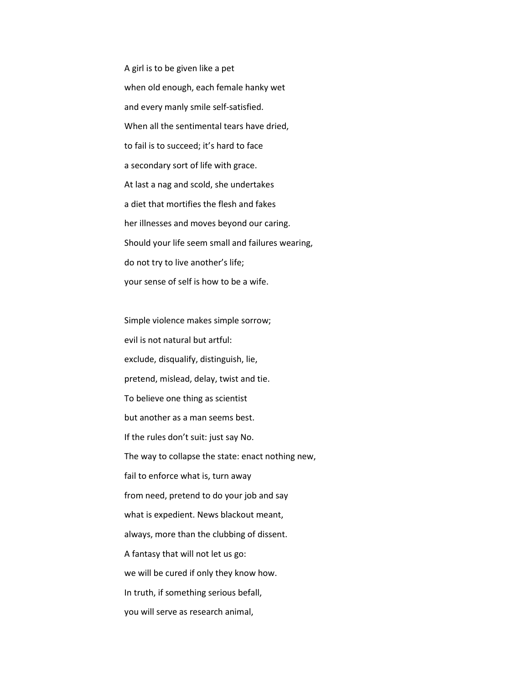A girl is to be given like a pet when old enough, each female hanky wet and every manly smile self-satisfied. When all the sentimental tears have dried, to fail is to succeed; it's hard to face a secondary sort of life with grace. At last a nag and scold, she undertakes a diet that mortifies the flesh and fakes her illnesses and moves beyond our caring. Should your life seem small and failures wearing, do not try to live another's life; your sense of self is how to be a wife.

Simple violence makes simple sorrow; evil is not natural but artful: exclude, disqualify, distinguish, lie, pretend, mislead, delay, twist and tie. To believe one thing as scientist but another as a man seems best. If the rules don't suit: just say No. The way to collapse the state: enact nothing new, fail to enforce what is, turn away from need, pretend to do your job and say what is expedient. News blackout meant, always, more than the clubbing of dissent. A fantasy that will not let us go: we will be cured if only they know how. In truth, if something serious befall, you will serve as research animal,